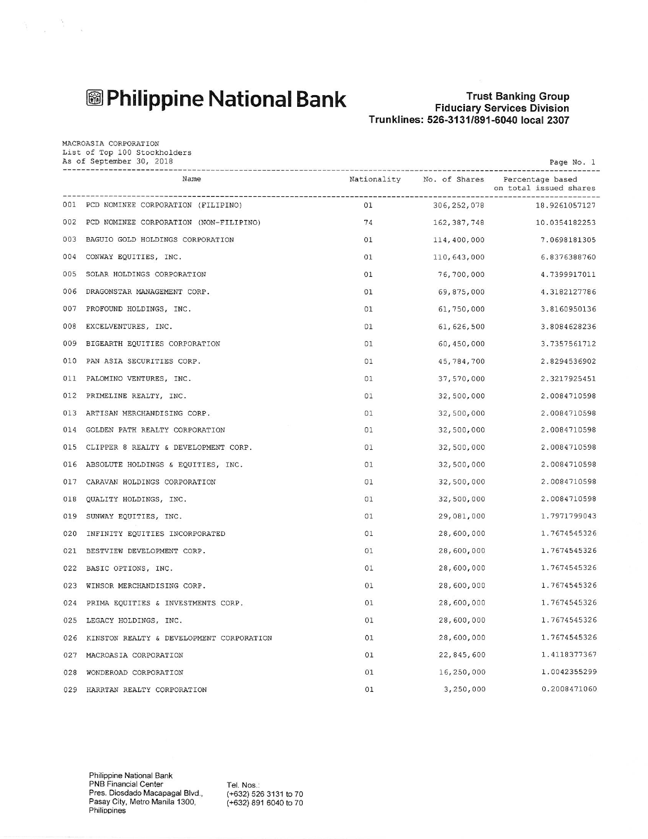## **<sup>3</sup> Philippine National Bank**

 $\label{eq:3.1} \frac{a_1}{b_1} = \frac{a_1}{b_1} \frac{a_2}{b_1} \cdots \frac{a_n}{b_n}$ 

MACROASIA CORPORATION

### **Trust Banking Group** Fiduciary Services Division<br>Fiduciary Services Division<br>Trunklines: 526-3131/891-6040 local 2307

|     | Name                                     |    | Nationality No. of Shares | Percentage based<br>on total issued shares |
|-----|------------------------------------------|----|---------------------------|--------------------------------------------|
|     | 001 PCD NOMINEE CORPORATION (FILIPINO)   | 01 | 306, 252, 078             | 18.9261057127                              |
| 002 | PCD NOMINEE CORPORATION (NON-FILIPINO)   | 74 | 162, 387, 748             | 10.0354182253                              |
| 003 | BAGUIO GOLD HOLDINGS CORPORATION         | 01 | 114,400,000               | 7.0698181305                               |
| 004 | CONWAY EQUITIES, INC.                    | 01 | 110,643,000               | 6.8376388760                               |
| 005 | SOLAR HOLDINGS CORPORATION               | 01 | 76,700,000                | 4.7399917011                               |
| 006 | DRAGONSTAR MANAGEMENT CORP.              | 01 | 69,875,000                | 4.3182127786                               |
| 007 | PROFOUND HOLDINGS, INC.                  | 01 | 61,750,000                | 3.8160950136                               |
| 008 | EXCELVENTURES, INC.                      | 01 | 61, 626, 500              | 3.8084628236                               |
| 009 | BIGEARTH EQUITIES CORPORATION            | 01 | 60,450,000                | 3.7357561712                               |
| 010 | PAN ASIA SECURITIES CORP.                | 01 | 45,784,700                | 2.8294536902                               |
| 011 | PALOMINO VENTURES, INC.                  | 01 | 37,570,000                | 2.3217925451                               |
| 012 | PRIMELINE REALTY, INC.                   | 01 | 32,500,000                | 2.0084710598                               |
| 013 | ARTISAN MERCHANDISING CORP.              | 01 | 32,500,000                | 2.0084710598                               |
| 014 | GOLDEN PATH REALTY CORPORATION           | 01 | 32,500,000                | 2.0084710598                               |
| 015 | CLIPPER 8 REALTY & DEVELOPMENT CORP.     | 01 | 32,500,000                | 2.0084710598                               |
| 016 | ABSOLUTE HOLDINGS & EQUITIES, INC.       | 01 | 32,500,000                | 2.0084710598                               |
| 017 | CARAVAN HOLDINGS CORPORATION             | 01 | 32,500,000                | 2.0084710598                               |
| 018 | QUALITY HOLDINGS, INC.                   | 01 | 32,500,000                | 2.0084710598                               |
| 019 | SUNWAY EQUITIES, INC.                    | 01 | 29,081,000                | 1.7971799043                               |
| 020 | INFINITY EQUITIES INCORPORATED           | 01 | 28,600,000                | 1.7674545326                               |
| 021 | BESTVIEW DEVELOPMENT CORP.               | 01 | 28,600,000                | 1.7674545326                               |
| 022 | BASIC OPTIONS, INC.                      | 01 | 28,600,000                | 1.7674545326                               |
| 023 | WINSOR MERCHANDISING CORP.               | 01 | 28,600,000                | 1.7674545326                               |
| 024 | PRIMA EQUITIES & INVESTMENTS CORP.       | 01 | 28,600,000                | 1.7674545326                               |
| 025 | LEGACY HOLDINGS, INC.                    | 01 | 28,600,000                | 1.7674545326                               |
| 026 | KINSTON REALTY & DEVELOPMENT CORPORATION | 01 | 28,600,000                | 1.7674545326                               |
| 027 | MACROASIA CORPORATION                    | 01 | 22,845,600                | 1.4118377367                               |
| 028 | WONDEROAD CORPORATION                    | 01 | 16,250,000                | 1.0042355299                               |
| 029 | HARRTAN REALTY CORPORATION               | 01 | 3,250,000                 | 0.2008471060                               |

Tel. Nos.: (+632) 526 3131 to 70<br>(+632) 891 6040 to 70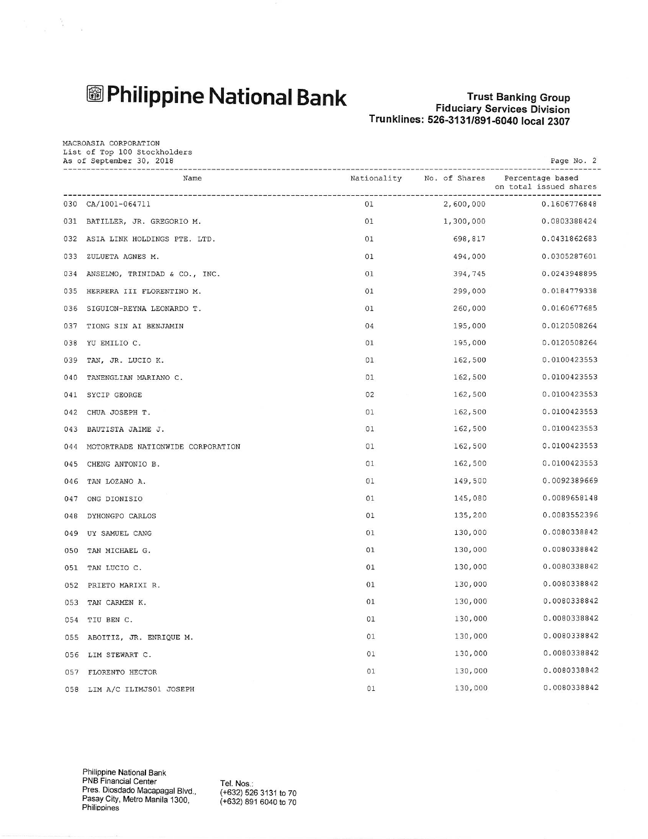## **图Philippine National Bank**

 $\frac{1}{2} \left( \begin{array}{cc} \frac{1}{2} & \frac{1}{2} \\ \frac{1}{2} & \frac{1}{2} \end{array} \right) = \frac{1}{2} \left( \begin{array}{cc} \frac{1}{2} & \frac{1}{2} \\ \frac{1}{2} & \frac{1}{2} \end{array} \right)$ 

### **Trust Banking Group** Fiduciary Services Division<br>Fiduciary Services Division<br>Trunklines: 526-3131/891-6040 local 2307

| MACROASIA CORPORATION<br>List of Top 100 Stockholders<br>As of September 30, 2018<br>Page No. 2 |                                   |             |               |                                            |
|-------------------------------------------------------------------------------------------------|-----------------------------------|-------------|---------------|--------------------------------------------|
|                                                                                                 | Name                              | Nationality | No. of Shares | Percentage based<br>on total issued shares |
| 030                                                                                             | CA/1001-064711                    | 01          | 2,600,000     | 0.1606776848                               |
|                                                                                                 | 031 BATILLER, JR. GREGORIO M.     | 01          | 1,300,000     | 0.0803388424                               |
|                                                                                                 | 032 ASIA LINK HOLDINGS PTE. LTD.  | 01          | 698,817       | 0.0431862683                               |
|                                                                                                 | 033 ZULUETA AGNES M.              | 01          | 494,000       | 0.0305287601                               |
| 034                                                                                             | ANSELMO, TRINIDAD & CO., INC.     | 01          | 394,745       | 0.0243948895                               |
| 035                                                                                             | HERRERA III FLORENTINO M.         | 01          | 299,000       | 0.0184779338                               |
| 036                                                                                             | SIGUION-REYNA LEONARDO T.         | 01          | 260,000       | 0.0160677685                               |
| 037                                                                                             | TIONG SIN AI BENJAMIN             | 04          | 195,000       | 0.0120508264                               |
| 038                                                                                             | YU EMILIO C.                      | 01          | 195,000       | 0.0120508264                               |
| 039                                                                                             | TAN, JR. LUCIO K.                 | 01          | 162,500       | 0.0100423553                               |
| 040                                                                                             | TANENGLIAN MARIANO C.             | 01          | 162,500       | 0.0100423553                               |
| 041                                                                                             | SYCIP GEORGE                      | 02          | 162,500       | 0.0100423553                               |
| 042                                                                                             | CHUA JOSEPH T.                    | 01          | 162,500       | 0.0100423553                               |
| 043                                                                                             | BAUTISTA JAIME J.                 | 01          | 162,500       | 0.0100423553                               |
| 044                                                                                             | MOTORTRADE NATIONWIDE CORPORATION | 01          | 162,500       | 0.0100423553                               |
| 045                                                                                             | CHENG ANTONIO B.                  | 01          | 162,500       | 0.0100423553                               |
| 046                                                                                             | TAN LOZANO A.                     | 01          | 149,500       | 0.0092389669                               |
| 047                                                                                             | ONG DIONISIO                      | 01          | 145,080       | 0.0089658148                               |
| 048                                                                                             | DYHONGPO CARLOS                   | 01          | 135,200       | 0.0083552396                               |
|                                                                                                 | 049 UY SAMUEL CANG                | 01          | 130,000       | 0.0080338842                               |
| 050                                                                                             | TAN MICHAEL G.                    | 01          | 130,000       | 0.0080338842                               |
| 051                                                                                             | TAN LUCIO C.                      | 01          | 130,000       | 0.0080338842                               |
| 052                                                                                             | PRIETO MARIXI R.                  | 01          | 130,000       | 0.0080338842                               |
| 053                                                                                             | TAN CARMEN K.                     | 01          | 130,000       | 0.0080338842                               |
| 054                                                                                             | TIU BEN C.                        | 01          | 130,000       | 0.0080338842                               |
|                                                                                                 | 055 ABOITIZ, JR. ENRIQUE M.       | 01          | 130,000       | 0.0080338842                               |
|                                                                                                 | 056 LIM STEWART C.                | 01          | 130,000       | 0.0080338842                               |
| 057                                                                                             | FLORENTO HECTOR                   | 01          | 130,000       | 0.0080338842                               |
|                                                                                                 | 058 LIM A/C ILIMJS01 JOSEPH       | 01          | 130,000       | 0.0080338842                               |

Tel. Nos.: (+632) 526 3131 to 70<br>(+632) 891 6040 to 70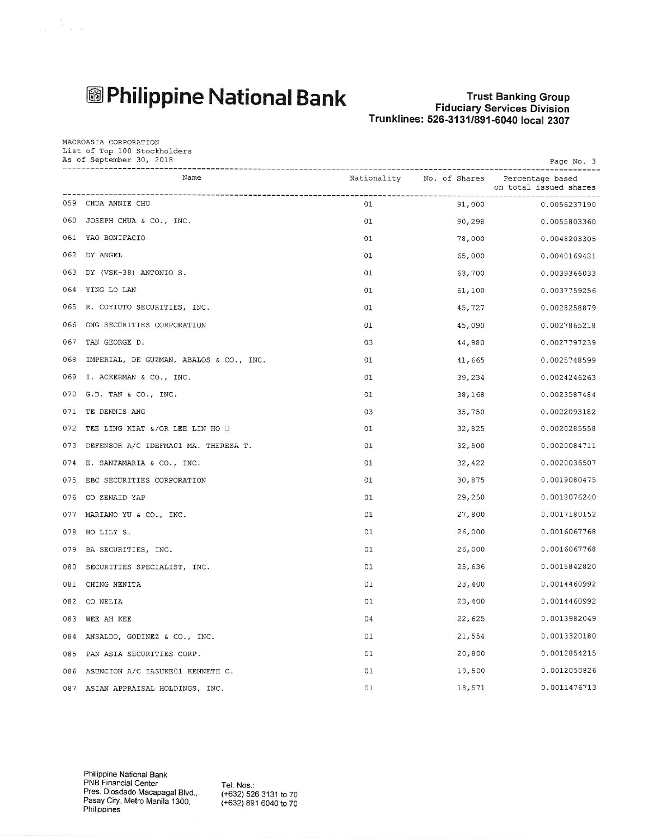## **图Philippine National Bank**

 $\label{eq:1.1} \frac{1}{\lambda} = \frac{3}{2} \frac{1}{\lambda} \left( \frac{1}{\lambda} - \frac{1}{\lambda} \right)$ 

MACROASIA CORPORATION

#### **Trust Banking Group Fiduciary Services Division** Trunklines: 526-3131/891-6040 local 2307

| PRONOGULA CONFONALION<br>List of Top 100 Stockholders<br>As of September 30, 2018<br>Page No. 3 |                                          |             |               |                                            |
|-------------------------------------------------------------------------------------------------|------------------------------------------|-------------|---------------|--------------------------------------------|
|                                                                                                 | Name                                     | Nationality | No. of Shares | Percentage based<br>on total issued shares |
|                                                                                                 | 059 CHUA ANNIE CHU                       | 01          | 91,000        | 0.0056237190                               |
|                                                                                                 | 060 JOSEPH CHUA & CO., INC.              | 01          | 90,298        | 0.0055803360                               |
|                                                                                                 | 061 YAO BONIFACIO                        | 01          | 78,000        | 0.0048203305                               |
|                                                                                                 | 062 DY ANGEL                             | 01          | 65,000        | 0.0040169421                               |
|                                                                                                 | 063 DY (VSK-38) ANTONIO S.               | 01          | 63,700        | 0.0039366033                               |
|                                                                                                 | 064 YING LO LAN                          | 01          | 61,100        | 0.0037759256                               |
| 065                                                                                             | R. COYIUTO SECURITIES, INC.              | 01          | 45,727        | 0.0028258879                               |
| 066                                                                                             | ONG SECURITIES CORPORATION               | 01          | 45,090        | 0.0027865218                               |
| 067                                                                                             | TAN GEORGE D.                            | 03          | 44,980        | 0.0027797239                               |
| 068                                                                                             | IMPERIAL, DE GUZMAN, ABALOS & CO., INC.  | 01          | 41,665        | 0.0025748599                               |
| 069                                                                                             | I. ACKERMAN & CO., INC.                  | 01          | 39,234        | 0.0024246263                               |
|                                                                                                 | 070 G.D. TAN & CO., INC.                 | 01          | 38,168        | 0.0023587484                               |
| 071                                                                                             | TE DENNIS ANG                            | 03          | 35,750        | 0.0022093182                               |
| 072                                                                                             | TEE LING KIAT &/OR LEE LIN HO O          | 01          | 32,825        | 0.0020285558                               |
|                                                                                                 | 073 DEFENSOR A/C IDEFMA01 MA. THERESA T. | 01          | 32,500        | 0.0020084711                               |
| 074                                                                                             | E. SANTAMARIA & CO., INC.                | 01          | 32,422        | 0.0020036507                               |
| 075                                                                                             | EBC SECURITIES CORPORATION               | 01          | 30,875        | 0.0019080475                               |
|                                                                                                 | 076 GO ZENAID YAP                        | 01          | 29,250        | 0.0018076240                               |
| 077                                                                                             | MARIANO YU & CO., INC.                   | 01          | 27,800        | 0.0017180152                               |
| 078                                                                                             | HO LILY S.                               | 01          | 26,000        | 0.0016067768                               |
|                                                                                                 | 079 BA SECURITIES, INC.                  | 01          | 26,000        | 0.0016067768                               |
| 080                                                                                             | SECURITIES SPECIALIST, INC.              | 01          | 25,636        | 0.0015842820                               |
| 081                                                                                             | CHING NENITA                             | 01          | 23,400        | 0.0014460992                               |
|                                                                                                 | 082 CONELIA                              | 01          | 23,400        | 0.0014460992                               |
|                                                                                                 | 083 WEE AH KEE                           | 04          | 22,625        | 0.0013982049                               |
| 084                                                                                             | ANSALDO, GODINEZ & CO., INC.             | 01          | 21,554        | 0.0013320180                               |
|                                                                                                 | 085 PAN ASIA SECURITIES CORP.            | 01          | 20,800        | 0.0012854215                               |
| 086                                                                                             | ASUNCION A/C IASUKE01 KENNETH C.         | 01          | 19,500        | 0.0012050826                               |
| 087                                                                                             | ASIAN APPRAISAL HOLDINGS, INC.           | 01          | 18,571        | 0.0011476713                               |

Tel. Nos.: (+632) 526 3131 to 70 (+632) 891 6040 to 70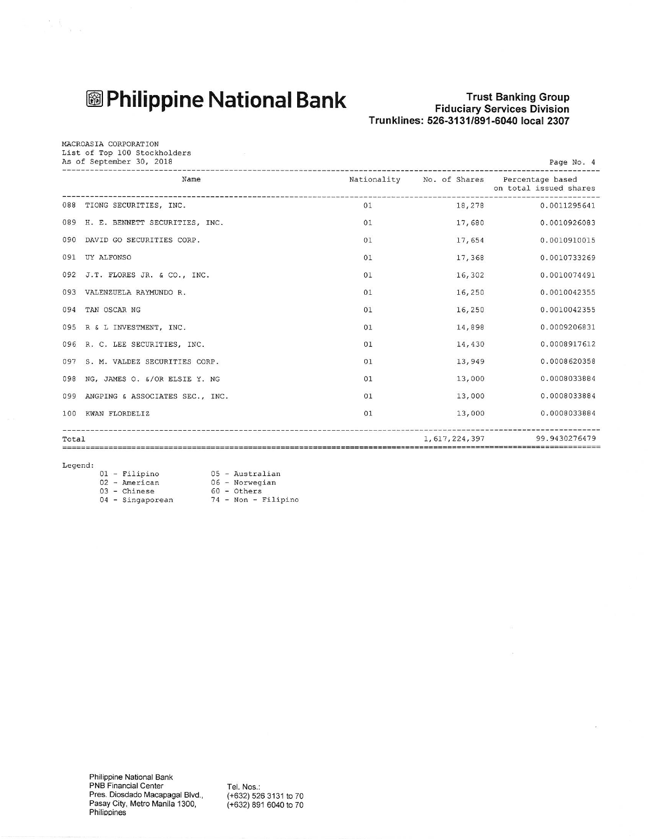## **<sup>3</sup> Philippine National Bank**

# Trust Banking Group<br>Fiduciary Services Division<br>Trunklines: 526-3131/891-6040 local 2307

 $\overline{\phantom{a}}$ 

| MACROASIA CORPORATION<br>List of Top 100 Stockholders<br>As of September 30, 2018<br>Page No. 4<br>----------------- |                                    |    |               |                                                                      |
|----------------------------------------------------------------------------------------------------------------------|------------------------------------|----|---------------|----------------------------------------------------------------------|
|                                                                                                                      | Name                               |    |               | Nationality No. of Shares Percentage based<br>on total issued shares |
|                                                                                                                      | 088 TIONG SECURITIES, INC.         | 01 |               | 18,278 0.0011295641                                                  |
|                                                                                                                      | 089 H. E. BENNETT SECURITIES, INC. | 01 | 17,680        | 0.0010926083                                                         |
| 090                                                                                                                  | DAVID GO SECURITIES CORP.          | 01 | 17,654        | 0.0010910015                                                         |
| 091                                                                                                                  | UY ALFONSO                         | 01 | 17,368        | 0.0010733269                                                         |
|                                                                                                                      | 092 J.T. FLORES JR. & CO., INC.    | 01 | 16,302        | 0.0010074491                                                         |
| 093                                                                                                                  | VALENZUELA RAYMUNDO R.             | 01 | 16,250        | 0.0010042355                                                         |
| 094                                                                                                                  | TAN OSCAR NG                       | 01 | 16,250        | 0.0010042355                                                         |
|                                                                                                                      | 095 R & L INVESTMENT, INC.         | 01 | 14,898        | 0.0009206831                                                         |
|                                                                                                                      | 096 R. C. LEE SECURITIES, INC.     | 01 | 14,430        | 0.0008917612                                                         |
|                                                                                                                      | 097 S. M. VALDEZ SECURITIES CORP.  | 01 | 13,949        | 0.0008620358                                                         |
| 098                                                                                                                  | NG, JAMES O. &/OR ELSIE Y. NG      | 01 | 13,000        | 0.0008033884                                                         |
| 099                                                                                                                  | ANGPING & ASSOCIATES SEC., INC.    | 01 | 13,000        | 0.0008033884                                                         |
| 100                                                                                                                  | KWAN FLORDELIZ                     | 01 | 13,000        | 0.0008033884                                                         |
| Total                                                                                                                |                                    |    | 1,617,224,397 | 99.9430276479<br>===========================                         |

 $Legend:$ 

 $\mathbb{R}^3$  .

|  |                                                                        | 05 - Australian     |
|--|------------------------------------------------------------------------|---------------------|
|  |                                                                        | 06 - Norwegian      |
|  |                                                                        | $60 - Others$       |
|  |                                                                        | 74 - Non - Filipino |
|  | 01 - Filipino<br>$02$ - American<br>$03$ - Chinese<br>04 - Singaporean |                     |

Tel. Nos.:<br>(+632) 526 3131 to 70<br>(+632) 891 6040 to 70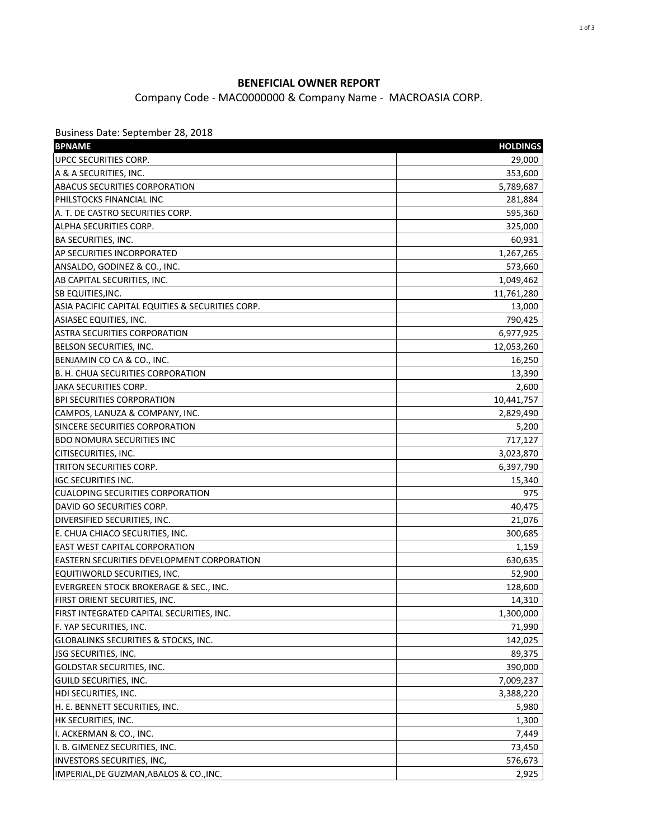#### **BENEFICIAL OWNER REPORT**

Company Code - MAC0000000 & Company Name - MACROASIA CORP.

Business Date: September 28, 2018

| UPCC SECURITIES CORP.<br>29,000<br>A & A SECURITIES, INC.<br>353,600<br><b>ABACUS SECURITIES CORPORATION</b><br>5,789,687<br>PHILSTOCKS FINANCIAL INC<br>281,884<br>A. T. DE CASTRO SECURITIES CORP.<br>595,360<br>ALPHA SECURITIES CORP.<br>325,000<br><b>BA SECURITIES, INC.</b><br>60,931<br>AP SECURITIES INCORPORATED<br>1,267,265<br>ANSALDO, GODINEZ & CO., INC.<br>573,660<br>AB CAPITAL SECURITIES, INC.<br>1,049,462<br>SB EQUITIES, INC.<br>11,761,280<br>ASIA PACIFIC CAPITAL EQUITIES & SECURITIES CORP.<br>13,000<br>ASIASEC EQUITIES, INC.<br>790,425<br><b>ASTRA SECURITIES CORPORATION</b><br>6,977,925<br>BELSON SECURITIES, INC.<br>12,053,260<br>BENJAMIN CO CA & CO., INC.<br>16,250<br>B. H. CHUA SECURITIES CORPORATION<br>13,390<br>JAKA SECURITIES CORP.<br>2,600<br><b>BPI SECURITIES CORPORATION</b><br>10,441,757<br>CAMPOS, LANUZA & COMPANY, INC.<br>2,829,490<br>SINCERE SECURITIES CORPORATION<br>5,200<br><b>BDO NOMURA SECURITIES INC</b><br>717,127<br>CITISECURITIES, INC.<br>3,023,870<br>TRITON SECURITIES CORP.<br>6,397,790<br><b>IGC SECURITIES INC.</b><br>15,340<br><b>CUALOPING SECURITIES CORPORATION</b><br>975<br>DAVID GO SECURITIES CORP.<br>40,475<br>DIVERSIFIED SECURITIES, INC.<br>21,076<br>E. CHUA CHIACO SECURITIES, INC.<br>300,685<br><b>EAST WEST CAPITAL CORPORATION</b><br>1,159<br><b>EASTERN SECURITIES DEVELOPMENT CORPORATION</b><br>630,635<br>EQUITIWORLD SECURITIES, INC.<br>52,900<br>EVERGREEN STOCK BROKERAGE & SEC., INC.<br>128,600<br>FIRST ORIENT SECURITIES, INC.<br>14,310<br>FIRST INTEGRATED CAPITAL SECURITIES, INC.<br>1,300,000<br>71,990<br>F. YAP SECURITIES, INC.<br>GLOBALINKS SECURITIES & STOCKS, INC.<br>142,025<br>JSG SECURITIES, INC.<br>89,375<br><b>GOLDSTAR SECURITIES, INC.</b><br>390,000<br>GUILD SECURITIES, INC.<br>7,009,237<br>HDI SECURITIES, INC.<br>3,388,220<br>H. E. BENNETT SECURITIES, INC.<br>5,980<br>HK SECURITIES, INC.<br>1,300<br>I. ACKERMAN & CO., INC.<br>7,449<br>I. B. GIMENEZ SECURITIES, INC.<br>73,450<br>INVESTORS SECURITIES, INC,<br>576,673 | <b>BPNAME</b>                           | <b>HOLDINGS</b> |
|----------------------------------------------------------------------------------------------------------------------------------------------------------------------------------------------------------------------------------------------------------------------------------------------------------------------------------------------------------------------------------------------------------------------------------------------------------------------------------------------------------------------------------------------------------------------------------------------------------------------------------------------------------------------------------------------------------------------------------------------------------------------------------------------------------------------------------------------------------------------------------------------------------------------------------------------------------------------------------------------------------------------------------------------------------------------------------------------------------------------------------------------------------------------------------------------------------------------------------------------------------------------------------------------------------------------------------------------------------------------------------------------------------------------------------------------------------------------------------------------------------------------------------------------------------------------------------------------------------------------------------------------------------------------------------------------------------------------------------------------------------------------------------------------------------------------------------------------------------------------------------------------------------------------------------------------------------------------------------------------------------------------------------------------------------------------------|-----------------------------------------|-----------------|
|                                                                                                                                                                                                                                                                                                                                                                                                                                                                                                                                                                                                                                                                                                                                                                                                                                                                                                                                                                                                                                                                                                                                                                                                                                                                                                                                                                                                                                                                                                                                                                                                                                                                                                                                                                                                                                                                                                                                                                                                                                                                            |                                         |                 |
|                                                                                                                                                                                                                                                                                                                                                                                                                                                                                                                                                                                                                                                                                                                                                                                                                                                                                                                                                                                                                                                                                                                                                                                                                                                                                                                                                                                                                                                                                                                                                                                                                                                                                                                                                                                                                                                                                                                                                                                                                                                                            |                                         |                 |
|                                                                                                                                                                                                                                                                                                                                                                                                                                                                                                                                                                                                                                                                                                                                                                                                                                                                                                                                                                                                                                                                                                                                                                                                                                                                                                                                                                                                                                                                                                                                                                                                                                                                                                                                                                                                                                                                                                                                                                                                                                                                            |                                         |                 |
|                                                                                                                                                                                                                                                                                                                                                                                                                                                                                                                                                                                                                                                                                                                                                                                                                                                                                                                                                                                                                                                                                                                                                                                                                                                                                                                                                                                                                                                                                                                                                                                                                                                                                                                                                                                                                                                                                                                                                                                                                                                                            |                                         |                 |
|                                                                                                                                                                                                                                                                                                                                                                                                                                                                                                                                                                                                                                                                                                                                                                                                                                                                                                                                                                                                                                                                                                                                                                                                                                                                                                                                                                                                                                                                                                                                                                                                                                                                                                                                                                                                                                                                                                                                                                                                                                                                            |                                         |                 |
|                                                                                                                                                                                                                                                                                                                                                                                                                                                                                                                                                                                                                                                                                                                                                                                                                                                                                                                                                                                                                                                                                                                                                                                                                                                                                                                                                                                                                                                                                                                                                                                                                                                                                                                                                                                                                                                                                                                                                                                                                                                                            |                                         |                 |
|                                                                                                                                                                                                                                                                                                                                                                                                                                                                                                                                                                                                                                                                                                                                                                                                                                                                                                                                                                                                                                                                                                                                                                                                                                                                                                                                                                                                                                                                                                                                                                                                                                                                                                                                                                                                                                                                                                                                                                                                                                                                            |                                         |                 |
|                                                                                                                                                                                                                                                                                                                                                                                                                                                                                                                                                                                                                                                                                                                                                                                                                                                                                                                                                                                                                                                                                                                                                                                                                                                                                                                                                                                                                                                                                                                                                                                                                                                                                                                                                                                                                                                                                                                                                                                                                                                                            |                                         |                 |
|                                                                                                                                                                                                                                                                                                                                                                                                                                                                                                                                                                                                                                                                                                                                                                                                                                                                                                                                                                                                                                                                                                                                                                                                                                                                                                                                                                                                                                                                                                                                                                                                                                                                                                                                                                                                                                                                                                                                                                                                                                                                            |                                         |                 |
|                                                                                                                                                                                                                                                                                                                                                                                                                                                                                                                                                                                                                                                                                                                                                                                                                                                                                                                                                                                                                                                                                                                                                                                                                                                                                                                                                                                                                                                                                                                                                                                                                                                                                                                                                                                                                                                                                                                                                                                                                                                                            |                                         |                 |
|                                                                                                                                                                                                                                                                                                                                                                                                                                                                                                                                                                                                                                                                                                                                                                                                                                                                                                                                                                                                                                                                                                                                                                                                                                                                                                                                                                                                                                                                                                                                                                                                                                                                                                                                                                                                                                                                                                                                                                                                                                                                            |                                         |                 |
|                                                                                                                                                                                                                                                                                                                                                                                                                                                                                                                                                                                                                                                                                                                                                                                                                                                                                                                                                                                                                                                                                                                                                                                                                                                                                                                                                                                                                                                                                                                                                                                                                                                                                                                                                                                                                                                                                                                                                                                                                                                                            |                                         |                 |
|                                                                                                                                                                                                                                                                                                                                                                                                                                                                                                                                                                                                                                                                                                                                                                                                                                                                                                                                                                                                                                                                                                                                                                                                                                                                                                                                                                                                                                                                                                                                                                                                                                                                                                                                                                                                                                                                                                                                                                                                                                                                            |                                         |                 |
|                                                                                                                                                                                                                                                                                                                                                                                                                                                                                                                                                                                                                                                                                                                                                                                                                                                                                                                                                                                                                                                                                                                                                                                                                                                                                                                                                                                                                                                                                                                                                                                                                                                                                                                                                                                                                                                                                                                                                                                                                                                                            |                                         |                 |
|                                                                                                                                                                                                                                                                                                                                                                                                                                                                                                                                                                                                                                                                                                                                                                                                                                                                                                                                                                                                                                                                                                                                                                                                                                                                                                                                                                                                                                                                                                                                                                                                                                                                                                                                                                                                                                                                                                                                                                                                                                                                            |                                         |                 |
|                                                                                                                                                                                                                                                                                                                                                                                                                                                                                                                                                                                                                                                                                                                                                                                                                                                                                                                                                                                                                                                                                                                                                                                                                                                                                                                                                                                                                                                                                                                                                                                                                                                                                                                                                                                                                                                                                                                                                                                                                                                                            |                                         |                 |
|                                                                                                                                                                                                                                                                                                                                                                                                                                                                                                                                                                                                                                                                                                                                                                                                                                                                                                                                                                                                                                                                                                                                                                                                                                                                                                                                                                                                                                                                                                                                                                                                                                                                                                                                                                                                                                                                                                                                                                                                                                                                            |                                         |                 |
|                                                                                                                                                                                                                                                                                                                                                                                                                                                                                                                                                                                                                                                                                                                                                                                                                                                                                                                                                                                                                                                                                                                                                                                                                                                                                                                                                                                                                                                                                                                                                                                                                                                                                                                                                                                                                                                                                                                                                                                                                                                                            |                                         |                 |
|                                                                                                                                                                                                                                                                                                                                                                                                                                                                                                                                                                                                                                                                                                                                                                                                                                                                                                                                                                                                                                                                                                                                                                                                                                                                                                                                                                                                                                                                                                                                                                                                                                                                                                                                                                                                                                                                                                                                                                                                                                                                            |                                         |                 |
|                                                                                                                                                                                                                                                                                                                                                                                                                                                                                                                                                                                                                                                                                                                                                                                                                                                                                                                                                                                                                                                                                                                                                                                                                                                                                                                                                                                                                                                                                                                                                                                                                                                                                                                                                                                                                                                                                                                                                                                                                                                                            |                                         |                 |
|                                                                                                                                                                                                                                                                                                                                                                                                                                                                                                                                                                                                                                                                                                                                                                                                                                                                                                                                                                                                                                                                                                                                                                                                                                                                                                                                                                                                                                                                                                                                                                                                                                                                                                                                                                                                                                                                                                                                                                                                                                                                            |                                         |                 |
|                                                                                                                                                                                                                                                                                                                                                                                                                                                                                                                                                                                                                                                                                                                                                                                                                                                                                                                                                                                                                                                                                                                                                                                                                                                                                                                                                                                                                                                                                                                                                                                                                                                                                                                                                                                                                                                                                                                                                                                                                                                                            |                                         |                 |
|                                                                                                                                                                                                                                                                                                                                                                                                                                                                                                                                                                                                                                                                                                                                                                                                                                                                                                                                                                                                                                                                                                                                                                                                                                                                                                                                                                                                                                                                                                                                                                                                                                                                                                                                                                                                                                                                                                                                                                                                                                                                            |                                         |                 |
|                                                                                                                                                                                                                                                                                                                                                                                                                                                                                                                                                                                                                                                                                                                                                                                                                                                                                                                                                                                                                                                                                                                                                                                                                                                                                                                                                                                                                                                                                                                                                                                                                                                                                                                                                                                                                                                                                                                                                                                                                                                                            |                                         |                 |
|                                                                                                                                                                                                                                                                                                                                                                                                                                                                                                                                                                                                                                                                                                                                                                                                                                                                                                                                                                                                                                                                                                                                                                                                                                                                                                                                                                                                                                                                                                                                                                                                                                                                                                                                                                                                                                                                                                                                                                                                                                                                            |                                         |                 |
|                                                                                                                                                                                                                                                                                                                                                                                                                                                                                                                                                                                                                                                                                                                                                                                                                                                                                                                                                                                                                                                                                                                                                                                                                                                                                                                                                                                                                                                                                                                                                                                                                                                                                                                                                                                                                                                                                                                                                                                                                                                                            |                                         |                 |
|                                                                                                                                                                                                                                                                                                                                                                                                                                                                                                                                                                                                                                                                                                                                                                                                                                                                                                                                                                                                                                                                                                                                                                                                                                                                                                                                                                                                                                                                                                                                                                                                                                                                                                                                                                                                                                                                                                                                                                                                                                                                            |                                         |                 |
|                                                                                                                                                                                                                                                                                                                                                                                                                                                                                                                                                                                                                                                                                                                                                                                                                                                                                                                                                                                                                                                                                                                                                                                                                                                                                                                                                                                                                                                                                                                                                                                                                                                                                                                                                                                                                                                                                                                                                                                                                                                                            |                                         |                 |
|                                                                                                                                                                                                                                                                                                                                                                                                                                                                                                                                                                                                                                                                                                                                                                                                                                                                                                                                                                                                                                                                                                                                                                                                                                                                                                                                                                                                                                                                                                                                                                                                                                                                                                                                                                                                                                                                                                                                                                                                                                                                            |                                         |                 |
|                                                                                                                                                                                                                                                                                                                                                                                                                                                                                                                                                                                                                                                                                                                                                                                                                                                                                                                                                                                                                                                                                                                                                                                                                                                                                                                                                                                                                                                                                                                                                                                                                                                                                                                                                                                                                                                                                                                                                                                                                                                                            |                                         |                 |
|                                                                                                                                                                                                                                                                                                                                                                                                                                                                                                                                                                                                                                                                                                                                                                                                                                                                                                                                                                                                                                                                                                                                                                                                                                                                                                                                                                                                                                                                                                                                                                                                                                                                                                                                                                                                                                                                                                                                                                                                                                                                            |                                         |                 |
|                                                                                                                                                                                                                                                                                                                                                                                                                                                                                                                                                                                                                                                                                                                                                                                                                                                                                                                                                                                                                                                                                                                                                                                                                                                                                                                                                                                                                                                                                                                                                                                                                                                                                                                                                                                                                                                                                                                                                                                                                                                                            |                                         |                 |
|                                                                                                                                                                                                                                                                                                                                                                                                                                                                                                                                                                                                                                                                                                                                                                                                                                                                                                                                                                                                                                                                                                                                                                                                                                                                                                                                                                                                                                                                                                                                                                                                                                                                                                                                                                                                                                                                                                                                                                                                                                                                            |                                         |                 |
|                                                                                                                                                                                                                                                                                                                                                                                                                                                                                                                                                                                                                                                                                                                                                                                                                                                                                                                                                                                                                                                                                                                                                                                                                                                                                                                                                                                                                                                                                                                                                                                                                                                                                                                                                                                                                                                                                                                                                                                                                                                                            |                                         |                 |
|                                                                                                                                                                                                                                                                                                                                                                                                                                                                                                                                                                                                                                                                                                                                                                                                                                                                                                                                                                                                                                                                                                                                                                                                                                                                                                                                                                                                                                                                                                                                                                                                                                                                                                                                                                                                                                                                                                                                                                                                                                                                            |                                         |                 |
|                                                                                                                                                                                                                                                                                                                                                                                                                                                                                                                                                                                                                                                                                                                                                                                                                                                                                                                                                                                                                                                                                                                                                                                                                                                                                                                                                                                                                                                                                                                                                                                                                                                                                                                                                                                                                                                                                                                                                                                                                                                                            |                                         |                 |
|                                                                                                                                                                                                                                                                                                                                                                                                                                                                                                                                                                                                                                                                                                                                                                                                                                                                                                                                                                                                                                                                                                                                                                                                                                                                                                                                                                                                                                                                                                                                                                                                                                                                                                                                                                                                                                                                                                                                                                                                                                                                            |                                         |                 |
|                                                                                                                                                                                                                                                                                                                                                                                                                                                                                                                                                                                                                                                                                                                                                                                                                                                                                                                                                                                                                                                                                                                                                                                                                                                                                                                                                                                                                                                                                                                                                                                                                                                                                                                                                                                                                                                                                                                                                                                                                                                                            |                                         |                 |
|                                                                                                                                                                                                                                                                                                                                                                                                                                                                                                                                                                                                                                                                                                                                                                                                                                                                                                                                                                                                                                                                                                                                                                                                                                                                                                                                                                                                                                                                                                                                                                                                                                                                                                                                                                                                                                                                                                                                                                                                                                                                            |                                         |                 |
|                                                                                                                                                                                                                                                                                                                                                                                                                                                                                                                                                                                                                                                                                                                                                                                                                                                                                                                                                                                                                                                                                                                                                                                                                                                                                                                                                                                                                                                                                                                                                                                                                                                                                                                                                                                                                                                                                                                                                                                                                                                                            |                                         |                 |
|                                                                                                                                                                                                                                                                                                                                                                                                                                                                                                                                                                                                                                                                                                                                                                                                                                                                                                                                                                                                                                                                                                                                                                                                                                                                                                                                                                                                                                                                                                                                                                                                                                                                                                                                                                                                                                                                                                                                                                                                                                                                            |                                         |                 |
|                                                                                                                                                                                                                                                                                                                                                                                                                                                                                                                                                                                                                                                                                                                                                                                                                                                                                                                                                                                                                                                                                                                                                                                                                                                                                                                                                                                                                                                                                                                                                                                                                                                                                                                                                                                                                                                                                                                                                                                                                                                                            |                                         |                 |
|                                                                                                                                                                                                                                                                                                                                                                                                                                                                                                                                                                                                                                                                                                                                                                                                                                                                                                                                                                                                                                                                                                                                                                                                                                                                                                                                                                                                                                                                                                                                                                                                                                                                                                                                                                                                                                                                                                                                                                                                                                                                            |                                         |                 |
|                                                                                                                                                                                                                                                                                                                                                                                                                                                                                                                                                                                                                                                                                                                                                                                                                                                                                                                                                                                                                                                                                                                                                                                                                                                                                                                                                                                                                                                                                                                                                                                                                                                                                                                                                                                                                                                                                                                                                                                                                                                                            |                                         |                 |
|                                                                                                                                                                                                                                                                                                                                                                                                                                                                                                                                                                                                                                                                                                                                                                                                                                                                                                                                                                                                                                                                                                                                                                                                                                                                                                                                                                                                                                                                                                                                                                                                                                                                                                                                                                                                                                                                                                                                                                                                                                                                            |                                         |                 |
|                                                                                                                                                                                                                                                                                                                                                                                                                                                                                                                                                                                                                                                                                                                                                                                                                                                                                                                                                                                                                                                                                                                                                                                                                                                                                                                                                                                                                                                                                                                                                                                                                                                                                                                                                                                                                                                                                                                                                                                                                                                                            |                                         |                 |
|                                                                                                                                                                                                                                                                                                                                                                                                                                                                                                                                                                                                                                                                                                                                                                                                                                                                                                                                                                                                                                                                                                                                                                                                                                                                                                                                                                                                                                                                                                                                                                                                                                                                                                                                                                                                                                                                                                                                                                                                                                                                            | IMPERIAL, DE GUZMAN, ABALOS & CO., INC. | 2,925           |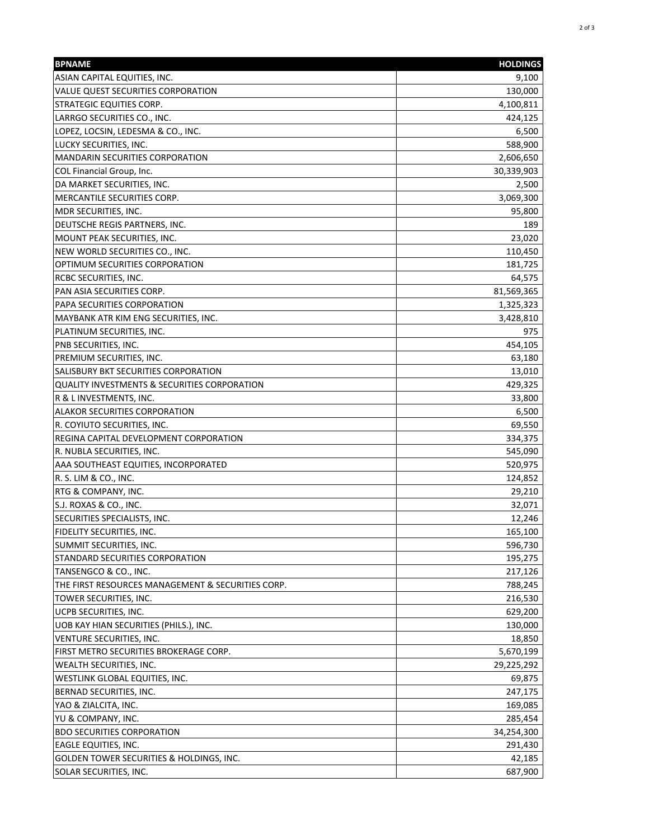| ASIAN CAPITAL EQUITIES, INC.<br>VALUE QUEST SECURITIES CORPORATION<br>130,000<br><b>STRATEGIC EQUITIES CORP.</b><br>4,100,811<br>LARRGO SECURITIES CO., INC.<br>424,125<br>LOPEZ, LOCSIN, LEDESMA & CO., INC.<br>LUCKY SECURITIES, INC.<br>588,900<br><b>MANDARIN SECURITIES CORPORATION</b><br>2,606,650 | 9,100<br>6,500<br>2,500<br>189 |
|-----------------------------------------------------------------------------------------------------------------------------------------------------------------------------------------------------------------------------------------------------------------------------------------------------------|--------------------------------|
|                                                                                                                                                                                                                                                                                                           |                                |
|                                                                                                                                                                                                                                                                                                           |                                |
|                                                                                                                                                                                                                                                                                                           |                                |
|                                                                                                                                                                                                                                                                                                           |                                |
|                                                                                                                                                                                                                                                                                                           |                                |
|                                                                                                                                                                                                                                                                                                           |                                |
|                                                                                                                                                                                                                                                                                                           |                                |
| COL Financial Group, Inc.<br>30,339,903                                                                                                                                                                                                                                                                   |                                |
| DA MARKET SECURITIES, INC.                                                                                                                                                                                                                                                                                |                                |
| MERCANTILE SECURITIES CORP.<br>3,069,300                                                                                                                                                                                                                                                                  |                                |
| MDR SECURITIES, INC.<br>95,800                                                                                                                                                                                                                                                                            |                                |
| DEUTSCHE REGIS PARTNERS, INC.                                                                                                                                                                                                                                                                             |                                |
| MOUNT PEAK SECURITIES, INC.<br>23,020                                                                                                                                                                                                                                                                     |                                |
| NEW WORLD SECURITIES CO., INC.<br>110,450                                                                                                                                                                                                                                                                 |                                |
| OPTIMUM SECURITIES CORPORATION<br>181,725                                                                                                                                                                                                                                                                 |                                |
| 64,575<br><b>RCBC SECURITIES, INC.</b>                                                                                                                                                                                                                                                                    |                                |
| PAN ASIA SECURITIES CORP.<br>81,569,365                                                                                                                                                                                                                                                                   |                                |
| PAPA SECURITIES CORPORATION<br>1,325,323                                                                                                                                                                                                                                                                  |                                |
| MAYBANK ATR KIM ENG SECURITIES, INC.<br>3,428,810                                                                                                                                                                                                                                                         |                                |
| PLATINUM SECURITIES, INC.                                                                                                                                                                                                                                                                                 | 975                            |
| PNB SECURITIES, INC.<br>454,105                                                                                                                                                                                                                                                                           |                                |
| PREMIUM SECURITIES, INC.<br>63,180                                                                                                                                                                                                                                                                        |                                |
| SALISBURY BKT SECURITIES CORPORATION<br>13,010                                                                                                                                                                                                                                                            |                                |
| QUALITY INVESTMENTS & SECURITIES CORPORATION<br>429,325                                                                                                                                                                                                                                                   |                                |
| R & L INVESTMENTS, INC.<br>33,800                                                                                                                                                                                                                                                                         |                                |
| <b>ALAKOR SECURITIES CORPORATION</b>                                                                                                                                                                                                                                                                      | 6,500                          |
| R. COYIUTO SECURITIES, INC.<br>69,550                                                                                                                                                                                                                                                                     |                                |
| REGINA CAPITAL DEVELOPMENT CORPORATION<br>334,375                                                                                                                                                                                                                                                         |                                |
| R. NUBLA SECURITIES, INC.<br>545,090                                                                                                                                                                                                                                                                      |                                |
| AAA SOUTHEAST EQUITIES, INCORPORATED<br>520,975                                                                                                                                                                                                                                                           |                                |
| R. S. LIM & CO., INC.<br>124,852                                                                                                                                                                                                                                                                          |                                |
| <b>RTG &amp; COMPANY, INC.</b><br>29,210                                                                                                                                                                                                                                                                  |                                |
| S.J. ROXAS & CO., INC.<br>32,071                                                                                                                                                                                                                                                                          |                                |
| SECURITIES SPECIALISTS, INC.<br>12,246                                                                                                                                                                                                                                                                    |                                |
| FIDELITY SECURITIES, INC.<br>165,100                                                                                                                                                                                                                                                                      |                                |
| 596,730<br>SUMMIT SECURITIES, INC.                                                                                                                                                                                                                                                                        |                                |
| STANDARD SECURITIES CORPORATION<br>195,275                                                                                                                                                                                                                                                                |                                |
| TANSENGCO & CO., INC.<br>217,126                                                                                                                                                                                                                                                                          |                                |
| THE FIRST RESOURCES MANAGEMENT & SECURITIES CORP.<br>788,245                                                                                                                                                                                                                                              |                                |
| TOWER SECURITIES, INC.<br>216,530                                                                                                                                                                                                                                                                         |                                |
| <b>UCPB SECURITIES, INC.</b><br>629,200                                                                                                                                                                                                                                                                   |                                |
| UOB KAY HIAN SECURITIES (PHILS.), INC.<br>130,000                                                                                                                                                                                                                                                         |                                |
| VENTURE SECURITIES, INC.<br>18,850                                                                                                                                                                                                                                                                        |                                |
| FIRST METRO SECURITIES BROKERAGE CORP.<br>5,670,199                                                                                                                                                                                                                                                       |                                |
| <b>WEALTH SECURITIES, INC.</b><br>29,225,292                                                                                                                                                                                                                                                              |                                |
| WESTLINK GLOBAL EQUITIES, INC.<br>69,875                                                                                                                                                                                                                                                                  |                                |
| BERNAD SECURITIES, INC.<br>247,175                                                                                                                                                                                                                                                                        |                                |
| YAO & ZIALCITA, INC.<br>169,085                                                                                                                                                                                                                                                                           |                                |
| YU & COMPANY, INC.<br>285,454                                                                                                                                                                                                                                                                             |                                |
| <b>BDO SECURITIES CORPORATION</b><br>34,254,300                                                                                                                                                                                                                                                           |                                |
| EAGLE EQUITIES, INC.<br>291,430                                                                                                                                                                                                                                                                           |                                |
| <b>GOLDEN TOWER SECURITIES &amp; HOLDINGS, INC.</b><br>42,185                                                                                                                                                                                                                                             |                                |
| SOLAR SECURITIES, INC.<br>687,900                                                                                                                                                                                                                                                                         |                                |